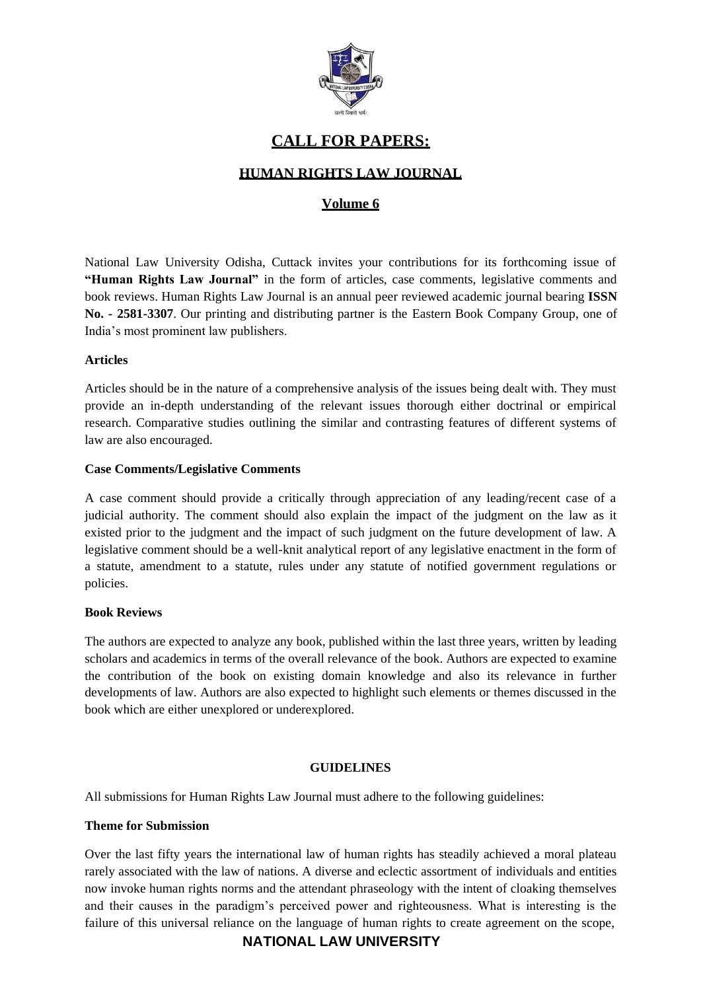

# **CALL FOR PAPERS:**

# **HUMAN RIGHTS LAW JOURNAL**

# **Volume 6**

National Law University Odisha, Cuttack invites your contributions for its forthcoming issue of **"Human Rights Law Journal"** in the form of articles, case comments, legislative comments and book reviews. Human Rights Law Journal is an annual peer reviewed academic journal bearing **ISSN No. - 2581-3307**. Our printing and distributing partner is the [Eastern Book Company Group,](https://www.ebcwebstore.com/product_info.php?products_id=7038) one of India's most prominent law publishers.

### **Articles**

Articles should be in the nature of a comprehensive analysis of the issues being dealt with. They must provide an in-depth understanding of the relevant issues thorough either doctrinal or empirical research. Comparative studies outlining the similar and contrasting features of different systems of law are also encouraged.

#### **Case Comments/Legislative Comments**

A case comment should provide a critically through appreciation of any leading/recent case of a judicial authority. The comment should also explain the impact of the judgment on the law as it existed prior to the judgment and the impact of such judgment on the future development of law. A legislative comment should be a well-knit analytical report of any legislative enactment in the form of a statute, amendment to a statute, rules under any statute of notified government regulations or policies.

# **Book Reviews**

The authors are expected to analyze any book, published within the last three years, written by leading scholars and academics in terms of the overall relevance of the book. Authors are expected to examine the contribution of the book on existing domain knowledge and also its relevance in further developments of law. Authors are also expected to highlight such elements or themes discussed in the book which are either unexplored or underexplored.

# **GUIDELINES**

All submissions for Human Rights Law Journal must adhere to the following guidelines:

# **Theme for Submission**

Over the last fifty years the international law of human rights has steadily achieved a moral plateau rarely associated with the law of nations. A diverse and eclectic assortment of individuals and entities now invoke human rights norms and the attendant phraseology with the intent of cloaking themselves and their causes in the paradigm's perceived power and righteousness. What is interesting is the failure of this universal reliance on the language of human rights to create agreement on the scope,

# **NATIONAL LAW UNIVERSITY**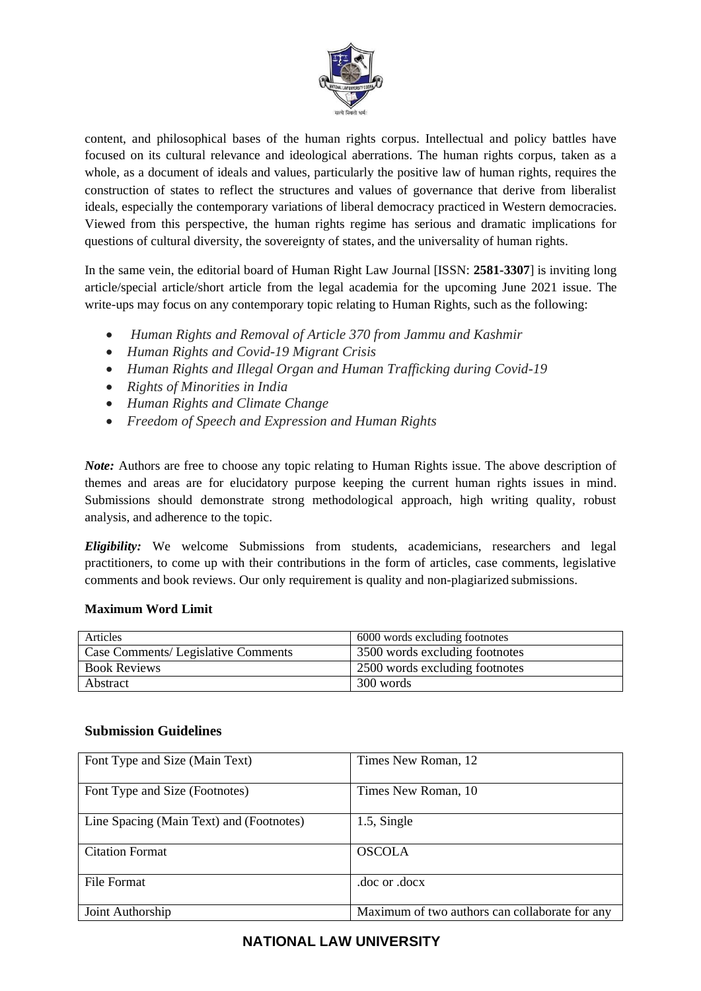

content, and philosophical bases of the human rights corpus. Intellectual and policy battles have focused on its cultural relevance and ideological aberrations. The human rights corpus, taken as a whole, as a document of ideals and values, particularly the positive law of human rights, requires the construction of states to reflect the structures and values of governance that derive from liberalist ideals, especially the contemporary variations of liberal democracy practiced in Western democracies. Viewed from this perspective, the human rights regime has serious and dramatic implications for questions of cultural diversity, the sovereignty of states, and the universality of human rights.

In the same vein, the editorial board of Human Right Law Journal [ISSN: **2581-3307**] is inviting long article/special article/short article from the legal academia for the upcoming June 2021 issue. The write-ups may focus on any contemporary topic relating to Human Rights, such as the following:

- *Human Rights and Removal of Article 370 from Jammu and Kashmir*
- *Human Rights and Covid-19 Migrant Crisis*
- *Human Rights and Illegal Organ and Human Trafficking during Covid-19*
- *Rights of Minorities in India*
- *Human Rights and Climate Change*
- *Freedom of Speech and Expression and Human Rights*

*Note:* Authors are free to choose any topic relating to Human Rights issue. The above description of themes and areas are for elucidatory purpose keeping the current human rights issues in mind. Submissions should demonstrate strong methodological approach, high writing quality, robust analysis, and adherence to the topic.

*Eligibility:* We welcome Submissions from students, academicians, researchers and legal practitioners, to come up with their contributions in the form of articles, case comments, legislative comments and book reviews. Our only requirement is quality and non-plagiarized submissions.

# **Maximum Word Limit**

| Articles                            | 6000 words excluding footnotes |
|-------------------------------------|--------------------------------|
| Case Comments/ Legislative Comments | 3500 words excluding footnotes |
| <b>Book Reviews</b>                 | 2500 words excluding footnotes |
| Abstract                            | 300 words                      |

# **Submission Guidelines**

| Font Type and Size (Main Text)           | Times New Roman, 12                            |
|------------------------------------------|------------------------------------------------|
| Font Type and Size (Footnotes)           | Times New Roman, 10                            |
| Line Spacing (Main Text) and (Footnotes) | 1.5, Single                                    |
| <b>Citation Format</b>                   | <b>OSCOLA</b>                                  |
| <b>File Format</b>                       | doe or doex.                                   |
| Joint Authorship                         | Maximum of two authors can collaborate for any |

# **NATIONAL LAW UNIVERSITY**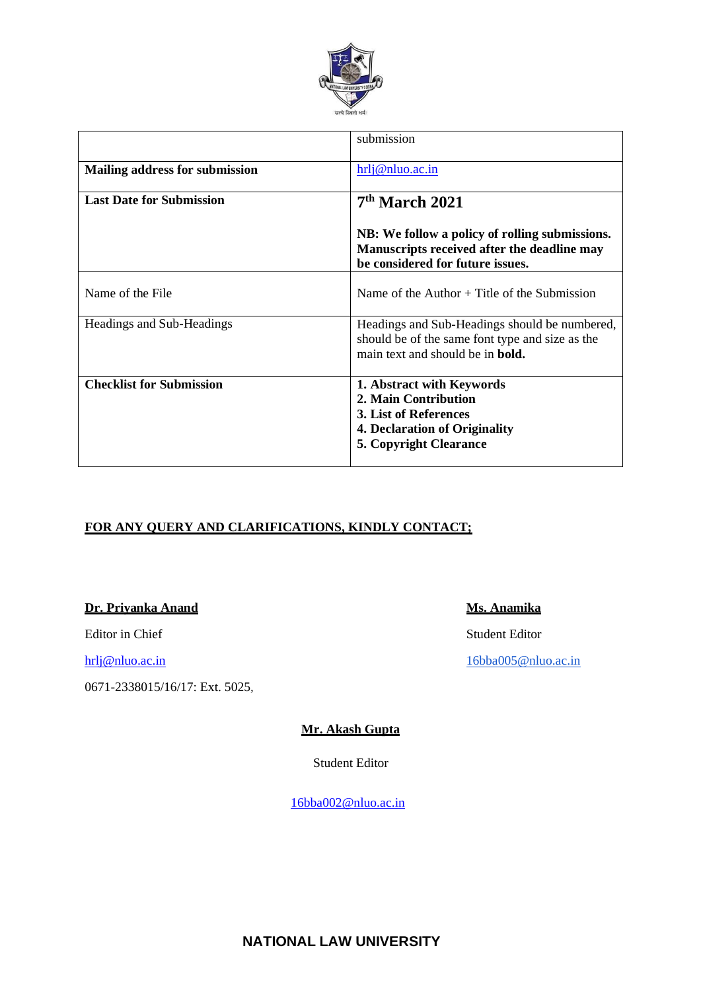

|                                       | submission                                                                                                                                   |
|---------------------------------------|----------------------------------------------------------------------------------------------------------------------------------------------|
| <b>Mailing address for submission</b> | hrli@nluo.ac.in                                                                                                                              |
| <b>Last Date for Submission</b>       | $7th$ March 2021                                                                                                                             |
|                                       | NB: We follow a policy of rolling submissions.<br>Manuscripts received after the deadline may<br>be considered for future issues.            |
| Name of the File                      | Name of the Author $+$ Title of the Submission                                                                                               |
| Headings and Sub-Headings             | Headings and Sub-Headings should be numbered,<br>should be of the same font type and size as the<br>main text and should be in <b>bold</b> . |
| <b>Checklist for Submission</b>       | 1. Abstract with Keywords<br>2. Main Contribution<br>3. List of References<br>4. Declaration of Originality<br><b>5. Copyright Clearance</b> |

# **FOR ANY QUERY AND CLARIFICATIONS, KINDLY CONTACT;**

# **Dr. Priyanka Anand Ms. Anamika**

Editor in Chief Student Editor

0671-2338015/16/17: Ext. 5025,

[hrlj@nluo.ac.in](mailto:hrlj@nluo.ac.in) [16bba005@nluo.ac.in](mailto:16bba005@nluo.ac.in) 16bba005@nluo.ac.in

#### **Mr. Akash Gupta**

Student Editor

[16bba002@nluo.ac.in](mailto:16bba002@nluo.ac.in)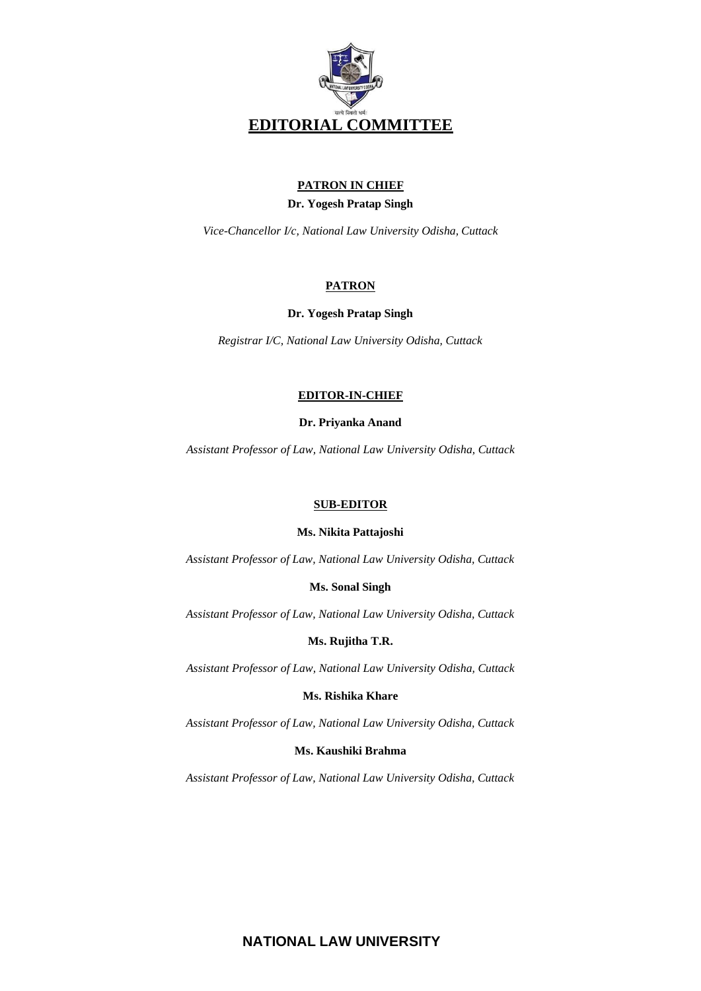

# **PATRON IN CHIEF**

#### **Dr. Yogesh Pratap Singh**

*Vice-Chancellor I/c, National Law University Odisha, Cuttack*

### **PATRON**

#### **Dr. Yogesh Pratap Singh**

*Registrar I/C, National Law University Odisha, Cuttack*

#### **EDITOR-IN-CHIEF**

#### **Dr. Priyanka Anand**

*Assistant Professor of Law, National Law University Odisha, Cuttack*

#### **SUB-EDITOR**

#### **Ms. Nikita Pattajoshi**

*Assistant Professor of Law, National Law University Odisha, Cuttack*

#### **Ms. Sonal Singh**

*Assistant Professor of Law, National Law University Odisha, Cuttack*

#### **Ms. Rujitha T.R.**

*Assistant Professor of Law, National Law University Odisha, Cuttack*

#### **Ms. Rishika Khare**

*Assistant Professor of Law, National Law University Odisha, Cuttack*

#### **Ms. Kaushiki Brahma**

*Assistant Professor of Law, National Law University Odisha, Cuttack*

# **NATIONAL LAW UNIVERSITY**